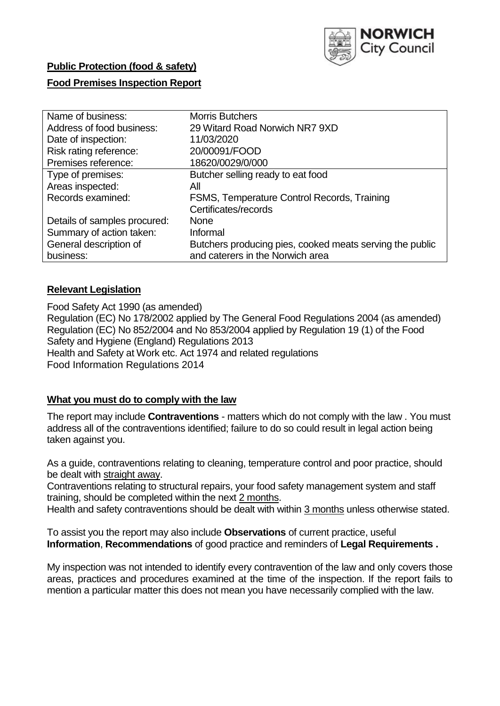

# **Public Protection (food & safety)**

## **Food Premises Inspection Report**

| Name of business:            | <b>Morris Butchers</b>                                   |
|------------------------------|----------------------------------------------------------|
| Address of food business:    | 29 Witard Road Norwich NR7 9XD                           |
| Date of inspection:          | 11/03/2020                                               |
| Risk rating reference:       | 20/00091/FOOD                                            |
| Premises reference:          | 18620/0029/0/000                                         |
| Type of premises:            | Butcher selling ready to eat food                        |
| Areas inspected:             | All                                                      |
| Records examined:            | FSMS, Temperature Control Records, Training              |
|                              | Certificates/records                                     |
| Details of samples procured: | <b>None</b>                                              |
| Summary of action taken:     | Informal                                                 |
| General description of       | Butchers producing pies, cooked meats serving the public |
| business:                    | and caterers in the Norwich area                         |

## **Relevant Legislation**

Food Safety Act 1990 (as amended) Regulation (EC) No 178/2002 applied by The General Food Regulations 2004 (as amended) Regulation (EC) No 852/2004 and No 853/2004 applied by Regulation 19 (1) of the Food Safety and Hygiene (England) Regulations 2013 Health and Safety at Work etc. Act 1974 and related regulations Food Information Regulations 2014

#### **What you must do to comply with the law**

The report may include **Contraventions** - matters which do not comply with the law . You must address all of the contraventions identified; failure to do so could result in legal action being taken against you.

As a guide, contraventions relating to cleaning, temperature control and poor practice, should be dealt with straight away.

Contraventions relating to structural repairs, your food safety management system and staff training, should be completed within the next 2 months.

Health and safety contraventions should be dealt with within 3 months unless otherwise stated.

To assist you the report may also include **Observations** of current practice, useful **Information**, **Recommendations** of good practice and reminders of **Legal Requirements .**

My inspection was not intended to identify every contravention of the law and only covers those areas, practices and procedures examined at the time of the inspection. If the report fails to mention a particular matter this does not mean you have necessarily complied with the law.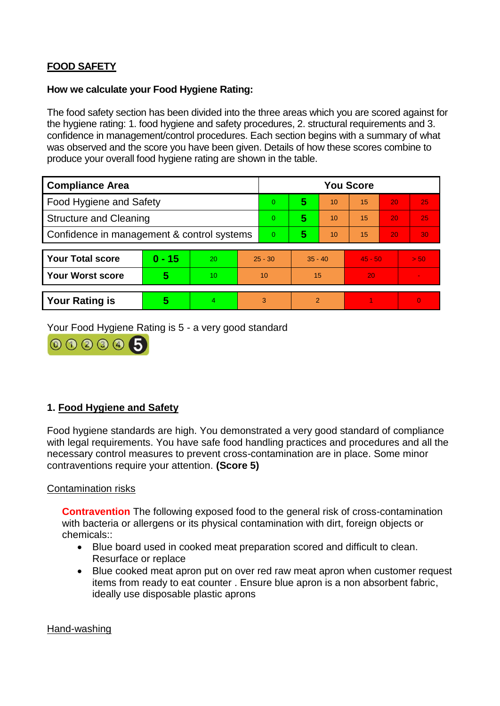# **FOOD SAFETY**

#### **How we calculate your Food Hygiene Rating:**

The food safety section has been divided into the three areas which you are scored against for the hygiene rating: 1. food hygiene and safety procedures, 2. structural requirements and 3. confidence in management/control procedures. Each section begins with a summary of what was observed and the score you have been given. Details of how these scores combine to produce your overall food hygiene rating are shown in the table.

| <b>Compliance Area</b>                     |          |                  |           | <b>You Score</b> |               |    |           |    |          |  |  |
|--------------------------------------------|----------|------------------|-----------|------------------|---------------|----|-----------|----|----------|--|--|
| Food Hygiene and Safety                    |          |                  |           | 0                | 5             | 10 | 15        | 20 | 25       |  |  |
| <b>Structure and Cleaning</b>              |          |                  |           | $\Omega$         | 5             | 10 | 15        | 20 | 25       |  |  |
| Confidence in management & control systems |          |                  |           | $\Omega$         | 5             | 10 | 15        | 20 | 30       |  |  |
|                                            |          |                  |           |                  |               |    |           |    |          |  |  |
| <b>Your Total score</b>                    | $0 - 15$ | 20               | $25 - 30$ |                  | $35 - 40$     |    | $45 - 50$ |    | > 50     |  |  |
| <b>Your Worst score</b>                    | 5        | 10 <sup>10</sup> | 10        |                  | 15            |    | 20        |    |          |  |  |
|                                            |          |                  |           |                  |               |    |           |    |          |  |  |
| <b>Your Rating is</b>                      | 5        | 4                |           | 3                | $\mathcal{P}$ |    |           |    | $\Omega$ |  |  |

Your Food Hygiene Rating is 5 - a very good standard



## **1. Food Hygiene and Safety**

Food hygiene standards are high. You demonstrated a very good standard of compliance with legal requirements. You have safe food handling practices and procedures and all the necessary control measures to prevent cross-contamination are in place. Some minor contraventions require your attention. **(Score 5)**

#### Contamination risks

**Contravention** The following exposed food to the general risk of cross-contamination with bacteria or allergens or its physical contamination with dirt, foreign objects or chemicals::

- Blue board used in cooked meat preparation scored and difficult to clean. Resurface or replace
- Blue cooked meat apron put on over red raw meat apron when customer request items from ready to eat counter . Ensure blue apron is a non absorbent fabric, ideally use disposable plastic aprons

#### Hand-washing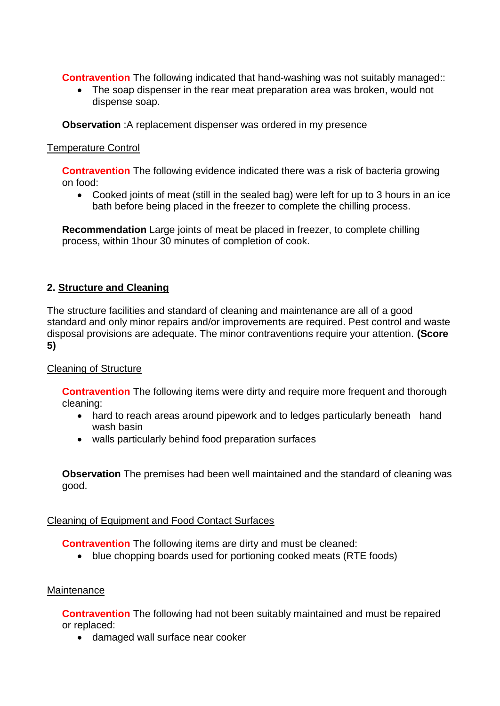**Contravention** The following indicated that hand-washing was not suitably managed::

• The soap dispenser in the rear meat preparation area was broken, would not dispense soap.

**Observation** :A replacement dispenser was ordered in my presence

#### Temperature Control

**Contravention** The following evidence indicated there was a risk of bacteria growing on food:

 Cooked joints of meat (still in the sealed bag) were left for up to 3 hours in an ice bath before being placed in the freezer to complete the chilling process.

**Recommendation** Large joints of meat be placed in freezer, to complete chilling process, within 1hour 30 minutes of completion of cook.

## **2. Structure and Cleaning**

The structure facilities and standard of cleaning and maintenance are all of a good standard and only minor repairs and/or improvements are required. Pest control and waste disposal provisions are adequate. The minor contraventions require your attention. **(Score 5)**

## Cleaning of Structure

**Contravention** The following items were dirty and require more frequent and thorough cleaning:

- hard to reach areas around pipework and to ledges particularly beneath hand wash basin
- walls particularly behind food preparation surfaces

**Observation** The premises had been well maintained and the standard of cleaning was good.

## Cleaning of Equipment and Food Contact Surfaces

**Contravention** The following items are dirty and must be cleaned:

blue chopping boards used for portioning cooked meats (RTE foods)

#### **Maintenance**

**Contravention** The following had not been suitably maintained and must be repaired or replaced:

• damaged wall surface near cooker